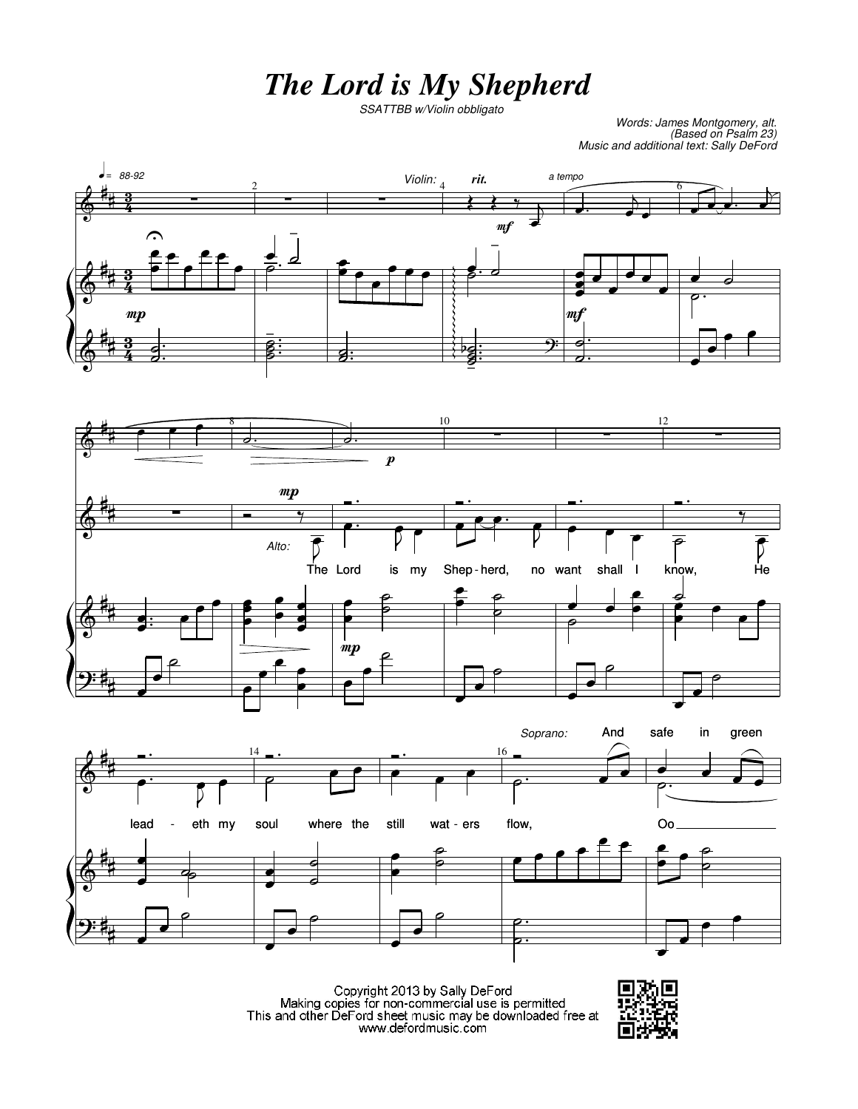## *The Lord is My Shepherd*

*SSATTBB w/Violin obbligato*

*Words: James Montgomery, alt. (Based on Psalm 23) Music and additional text: Sally DeFord*







Copyright 2013 by Sally DeFord<br>Making copies for non-commercial use is permitted<br>This and other DeFord sheet music may be downloaded free at www.defordmusic.com

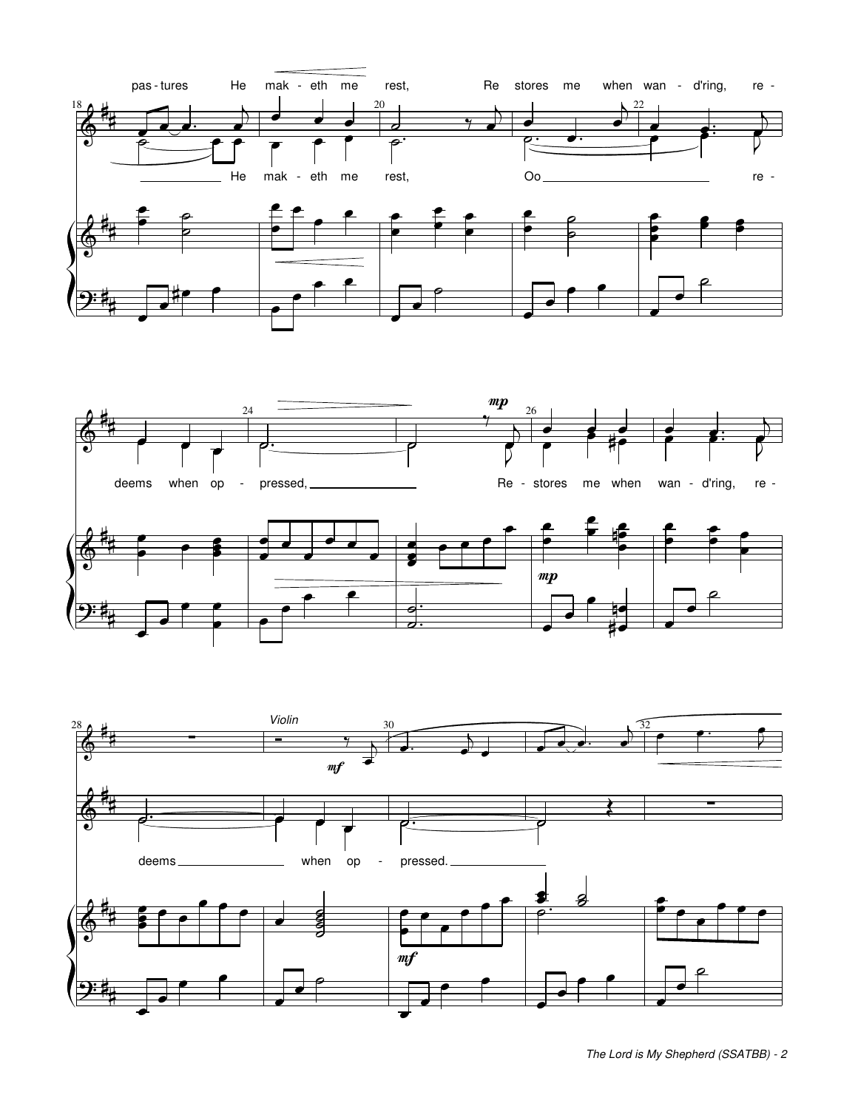





*The Lord is My Shepherd (SSATBB) - 2*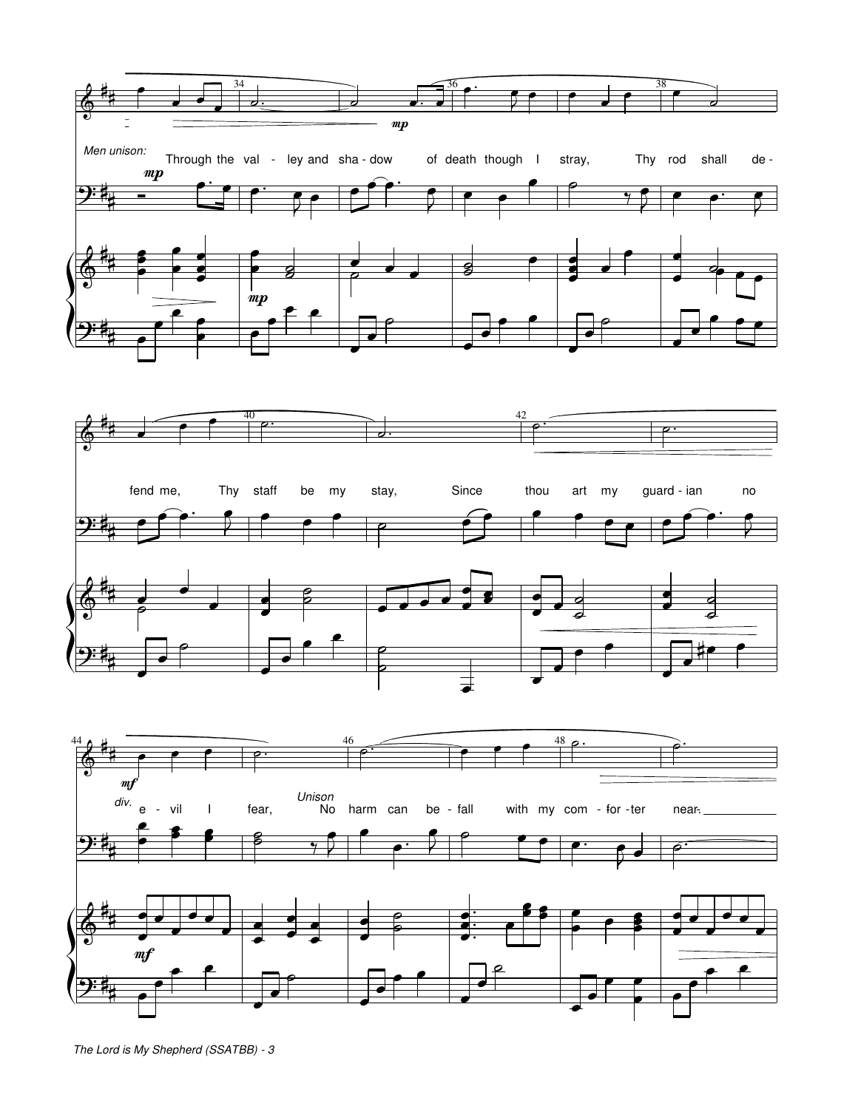



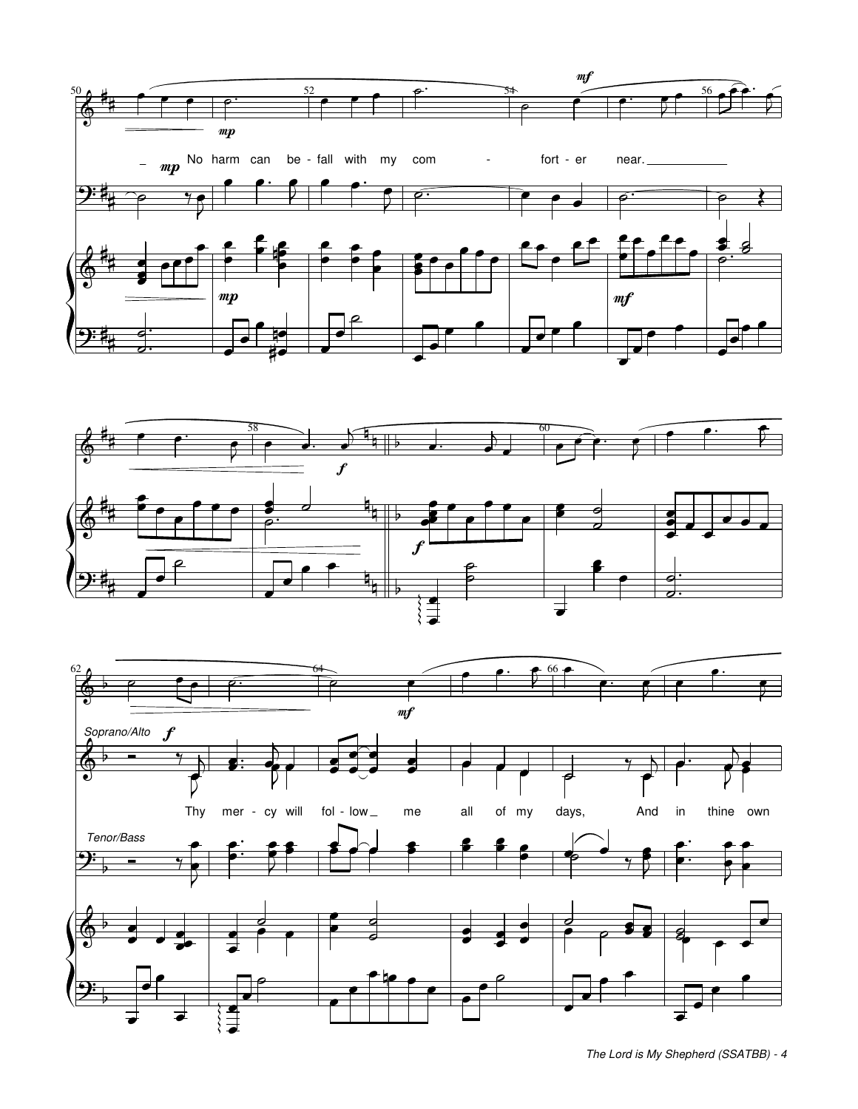





*The Lord is My Shepherd (SSATBB) - 4*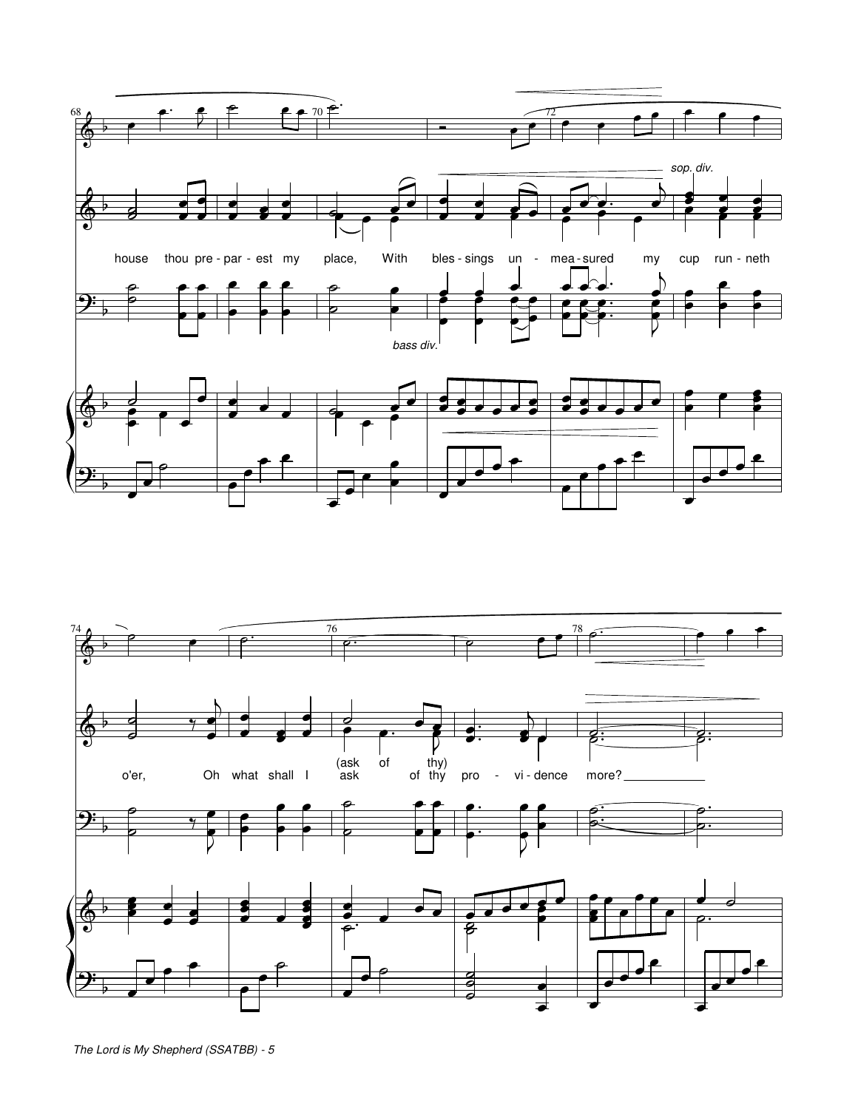